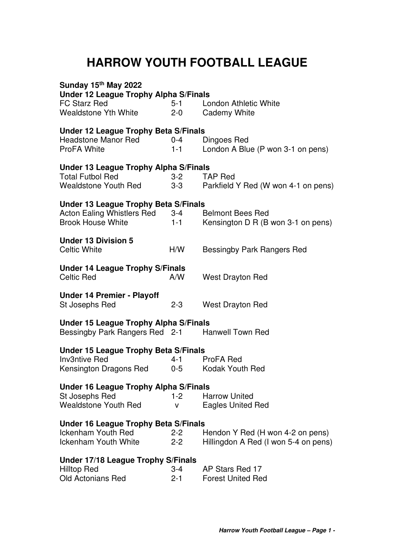## **HARROW YOUTH FOOTBALL LEAGUE**

| Sunday 15 <sup>th</sup> May 2022<br><b>Under 12 League Trophy Alpha S/Finals</b> |         |                                      |  |  |
|----------------------------------------------------------------------------------|---------|--------------------------------------|--|--|
| <b>FC Starz Red</b>                                                              | $5-1$   | London Athletic White                |  |  |
| <b>Wealdstone Yth White</b>                                                      | $2 - 0$ | <b>Cademy White</b>                  |  |  |
|                                                                                  |         |                                      |  |  |
| Under 12 League Trophy Beta S/Finals                                             |         |                                      |  |  |
| <b>Headstone Manor Red</b>                                                       | $0 - 4$ | Dingoes Red                          |  |  |
| <b>ProFA White</b>                                                               | $1 - 1$ | London A Blue (P won 3-1 on pens)    |  |  |
| <b>Under 13 League Trophy Alpha S/Finals</b>                                     |         |                                      |  |  |
| <b>Total Futbol Red</b>                                                          | $3 - 2$ | <b>TAP Red</b>                       |  |  |
| Wealdstone Youth Red                                                             | $3-3$   | Parkfield Y Red (W won 4-1 on pens)  |  |  |
| <b>Under 13 League Trophy Beta S/Finals</b>                                      |         |                                      |  |  |
| Acton Ealing Whistlers Red                                                       | $3-4$   | <b>Belmont Bees Red</b>              |  |  |
| <b>Brook House White</b>                                                         | $1 - 1$ | Kensington D R (B won 3-1 on pens)   |  |  |
|                                                                                  |         |                                      |  |  |
| <b>Under 13 Division 5</b>                                                       |         |                                      |  |  |
| <b>Celtic White</b>                                                              | H/W     | <b>Bessingby Park Rangers Red</b>    |  |  |
| <b>Under 14 League Trophy S/Finals</b>                                           |         |                                      |  |  |
| <b>Celtic Red</b>                                                                | A/W     | <b>West Drayton Red</b>              |  |  |
| <b>Under 14 Premier - Playoff</b>                                                |         |                                      |  |  |
| St Josephs Red                                                                   | $2 - 3$ | <b>West Drayton Red</b>              |  |  |
|                                                                                  |         |                                      |  |  |
| Under 15 League Trophy Alpha S/Finals                                            |         |                                      |  |  |
| Bessingby Park Rangers Red 2-1                                                   |         | <b>Hanwell Town Red</b>              |  |  |
| <b>Under 15 League Trophy Beta S/Finals</b>                                      |         |                                      |  |  |
| <b>Inv3ntive Red</b>                                                             | $4 - 1$ | ProFA Red                            |  |  |
| Kensington Dragons Red                                                           | $0-5$   | <b>Kodak Youth Red</b>               |  |  |
| <b>Under 16 League Trophy Alpha S/Finals</b>                                     |         |                                      |  |  |
| St Josephs Red                                                                   | $1-2$   | <b>Harrow United</b>                 |  |  |
| <b>Wealdstone Youth Red</b>                                                      | v       | <b>Eagles United Red</b>             |  |  |
| <b>Under 16 League Trophy Beta S/Finals</b>                                      |         |                                      |  |  |
| <b>Ickenham Youth Red</b>                                                        | $2 - 2$ | Hendon Y Red (H won 4-2 on pens)     |  |  |
| <b>Ickenham Youth White</b>                                                      | $2 - 2$ | Hillingdon A Red (I won 5-4 on pens) |  |  |
|                                                                                  |         |                                      |  |  |
| Under 17/18 League Trophy S/Finals<br>Hilltop Red                                | $3 - 4$ | AP Stars Red 17                      |  |  |
| <b>Old Actonians Red</b>                                                         | $2 - 1$ | <b>Forest United Red</b>             |  |  |
|                                                                                  |         |                                      |  |  |